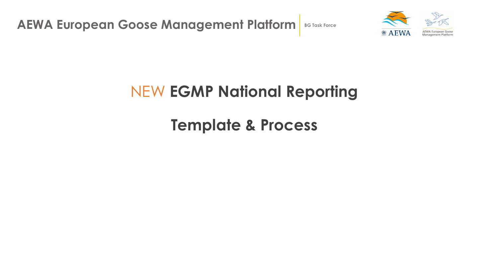**AEWA European Goose Management Platform** BG Task Force



## NEW **EGMP National Reporting**

**Template & Process**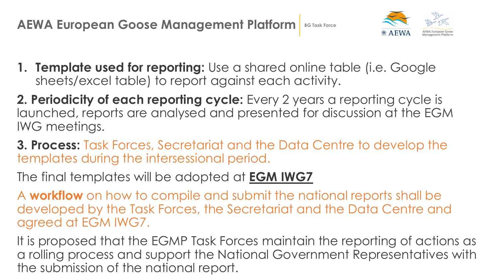**AEWA European Goose Management Platform** BG Task Force



- **1. Template used for reporting:** Use a shared online table (i.e. Google sheets/excel table) to report against each activity.
- **2. Periodicity of each reporting cycle:** Every 2 years a reporting cycle is launched, reports are analysed and presented for discussion at the EGM IWG meetings.
- **3. Process:** Task Forces, Secretariat and the Data Centre to develop the templates during the intersessional period.
- The final templates will be adopted at **EGM IWG7**
- A **workflow** on how to compile and submit the national reports shall be developed by the Task Forces, the Secretariat and the Data Centre and agreed at EGM IWG7.
- It is proposed that the EGMP Task Forces maintain the reporting of actions as a rolling process and support the National Government Representatives with the submission of the national report.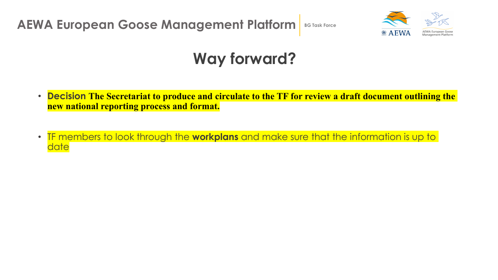**AEWA European Goose Management Platform** BG Task Force



## **Way forward?**

- **Decision The Secretariat to produce and circulate to the TF for review a draft document outlining the new national reporting process and format.**
- TF members to look through the **workplans** and make sure that the information is up to date